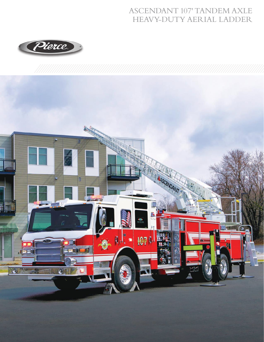## **ASCENDANT 107' TANDEM AXLE** HEAVY-DUTY AERIAL LADDER